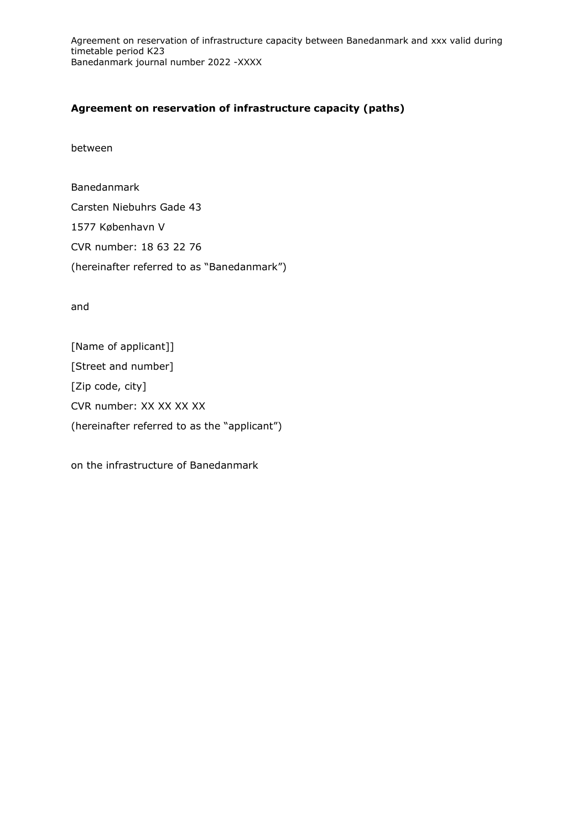# **Agreement on reservation of infrastructure capacity (paths)**

between

Banedanmark Carsten Niebuhrs Gade 43 1577 København V CVR number: 18 63 22 76 (hereinafter referred to as "Banedanmark")

and

[Name of applicant]] [Street and number] [Zip code, city] CVR number: XX XX XX XX (hereinafter referred to as the "applicant")

on the infrastructure of Banedanmark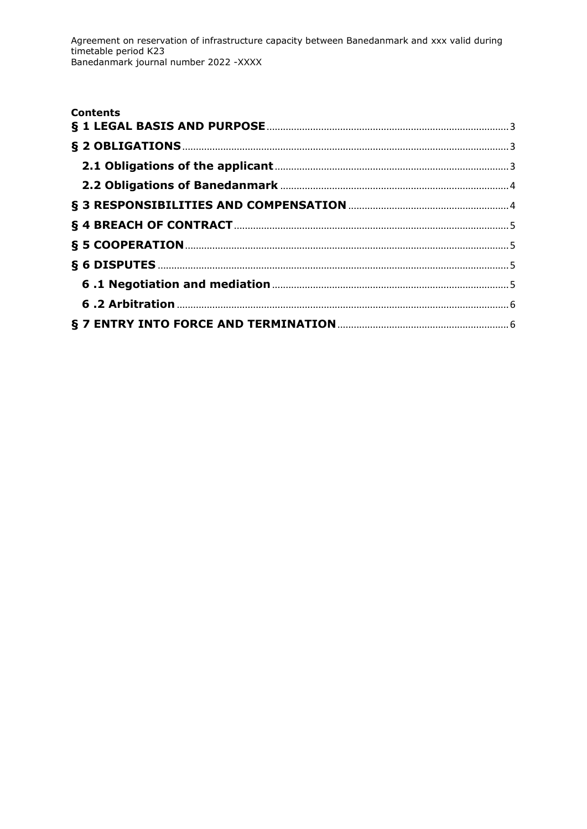| <b>Contents</b> |  |
|-----------------|--|
|                 |  |
|                 |  |
|                 |  |
|                 |  |
|                 |  |
|                 |  |
|                 |  |
|                 |  |
|                 |  |
|                 |  |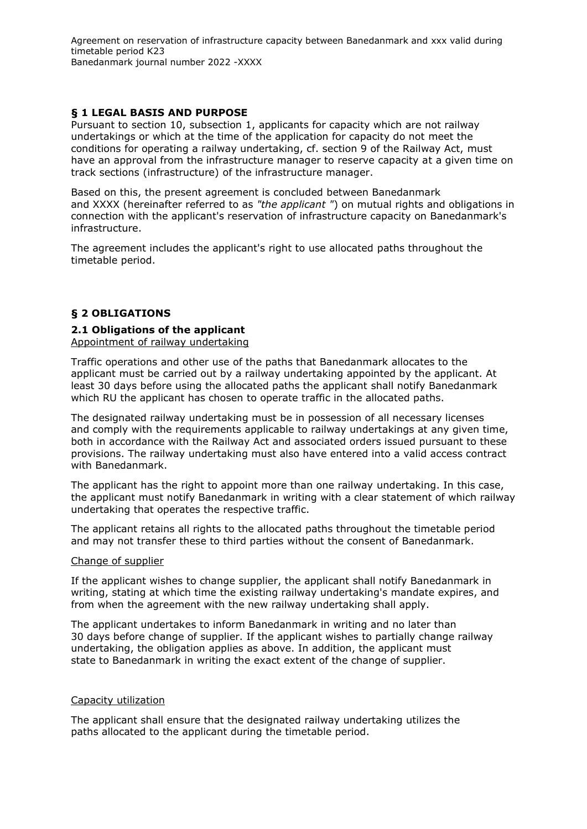# <span id="page-2-0"></span>**§ 1 LEGAL BASIS AND PURPOSE**

Pursuant to section 10, subsection 1, applicants for capacity which are not railway undertakings or which at the time of the application for capacity do not meet the conditions for operating a railway undertaking, cf. section 9 of the Railway Act, must have an approval from the infrastructure manager to reserve capacity at a given time on track sections (infrastructure) of the infrastructure manager.

Based on this, the present agreement is concluded between Banedanmark and XXXX (hereinafter referred to as *"the applicant "*) on mutual rights and obligations in connection with the applicant's reservation of infrastructure capacity on Banedanmark's infrastructure.

The agreement includes the applicant's right to use allocated paths throughout the timetable period.

# <span id="page-2-1"></span>**§ 2 OBLIGATIONS**

# <span id="page-2-2"></span>**2.1 Obligations of the applicant**

Appointment of railway undertaking

Traffic operations and other use of the paths that Banedanmark allocates to the applicant must be carried out by a railway undertaking appointed by the applicant. At least 30 days before using the allocated paths the applicant shall notify Banedanmark which RU the applicant has chosen to operate traffic in the allocated paths.

The designated railway undertaking must be in possession of all necessary licenses and comply with the requirements applicable to railway undertakings at any given time, both in accordance with the Railway Act and associated orders issued pursuant to these provisions. The railway undertaking must also have entered into a valid access contract with Banedanmark.

The applicant has the right to appoint more than one railway undertaking. In this case, the applicant must notify Banedanmark in writing with a clear statement of which railway undertaking that operates the respective traffic.

The applicant retains all rights to the allocated paths throughout the timetable period and may not transfer these to third parties without the consent of Banedanmark.

#### Change of supplier

If the applicant wishes to change supplier, the applicant shall notify Banedanmark in writing, stating at which time the existing railway undertaking's mandate expires, and from when the agreement with the new railway undertaking shall apply.

The applicant undertakes to inform Banedanmark in writing and no later than 30 days before change of supplier. If the applicant wishes to partially change railway undertaking, the obligation applies as above. In addition, the applicant must state to Banedanmark in writing the exact extent of the change of supplier.

### Capacity utilization

The applicant shall ensure that the designated railway undertaking utilizes the paths allocated to the applicant during the timetable period.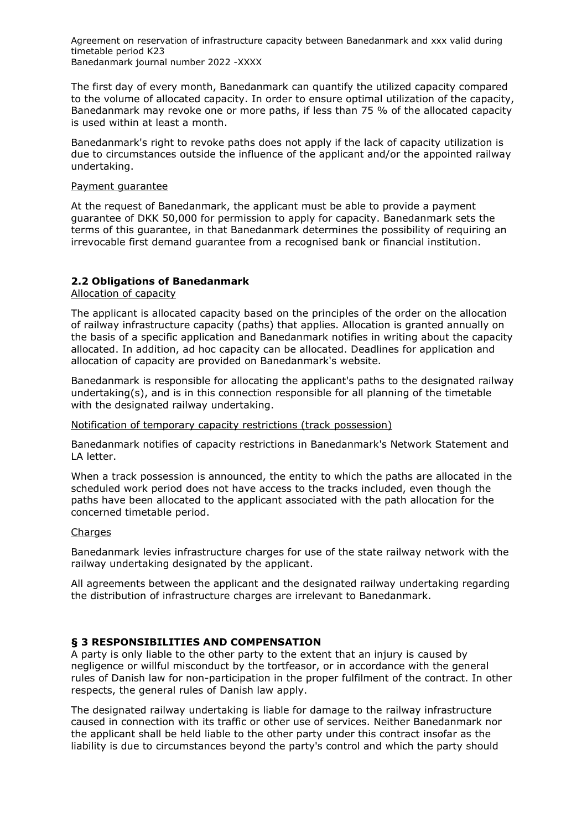The first day of every month, Banedanmark can quantify the utilized capacity compared to the volume of allocated capacity. In order to ensure optimal utilization of the capacity, Banedanmark may revoke one or more paths, if less than 75 % of the allocated capacity is used within at least a month.

Banedanmark's right to revoke paths does not apply if the lack of capacity utilization is due to circumstances outside the influence of the applicant and/or the appointed railway undertaking.

### Payment guarantee

At the request of Banedanmark, the applicant must be able to provide a payment guarantee of DKK 50,000 for permission to apply for capacity. Banedanmark sets the terms of this guarantee, in that Banedanmark determines the possibility of requiring an irrevocable first demand guarantee from a recognised bank or financial institution.

# <span id="page-3-0"></span>**2.2 Obligations of Banedanmark**

Allocation of capacity

The applicant is allocated capacity based on the principles of the order on the allocation of railway infrastructure capacity (paths) that applies. Allocation is granted annually on the basis of a specific application and Banedanmark notifies in writing about the capacity allocated. In addition, ad hoc capacity can be allocated. Deadlines for application and allocation of capacity are provided on Banedanmark's website.

Banedanmark is responsible for allocating the applicant's paths to the designated railway undertaking(s), and is in this connection responsible for all planning of the timetable with the designated railway undertaking.

#### Notification of temporary capacity restrictions (track possession)

Banedanmark notifies of capacity restrictions in Banedanmark's Network Statement and LA letter.

When a track possession is announced, the entity to which the paths are allocated in the scheduled work period does not have access to the tracks included, even though the paths have been allocated to the applicant associated with the path allocation for the concerned timetable period.

#### **Charges**

Banedanmark levies infrastructure charges for use of the state railway network with the railway undertaking designated by the applicant.

All agreements between the applicant and the designated railway undertaking regarding the distribution of infrastructure charges are irrelevant to Banedanmark.

### <span id="page-3-1"></span>**§ 3 RESPONSIBILITIES AND COMPENSATION**

A party is only liable to the other party to the extent that an injury is caused by negligence or willful misconduct by the tortfeasor, or in accordance with the general rules of Danish law for non-participation in the proper fulfilment of the contract. In other respects, the general rules of Danish law apply.

The designated railway undertaking is liable for damage to the railway infrastructure caused in connection with its traffic or other use of services. Neither Banedanmark nor the applicant shall be held liable to the other party under this contract insofar as the liability is due to circumstances beyond the party's control and which the party should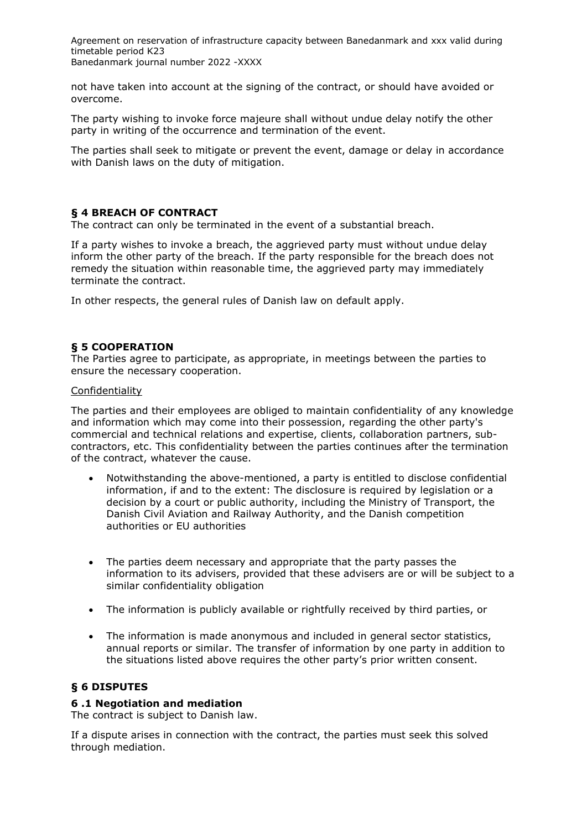not have taken into account at the signing of the contract, or should have avoided or overcome.

The party wishing to invoke force majeure shall without undue delay notify the other party in writing of the occurrence and termination of the event.

The parties shall seek to mitigate or prevent the event, damage or delay in accordance with Danish laws on the duty of mitigation.

# <span id="page-4-0"></span>**§ 4 BREACH OF CONTRACT**

The contract can only be terminated in the event of a substantial breach.

If a party wishes to invoke a breach, the aggrieved party must without undue delay inform the other party of the breach. If the party responsible for the breach does not remedy the situation within reasonable time, the aggrieved party may immediately terminate the contract.

In other respects, the general rules of Danish law on default apply.

# <span id="page-4-1"></span>**§ 5 COOPERATION**

The Parties agree to participate, as appropriate, in meetings between the parties to ensure the necessary cooperation.

#### Confidentiality

The parties and their employees are obliged to maintain confidentiality of any knowledge and information which may come into their possession, regarding the other party's commercial and technical relations and expertise, clients, collaboration partners, subcontractors, etc. This confidentiality between the parties continues after the termination of the contract, whatever the cause.

- Notwithstanding the above-mentioned, a party is entitled to disclose confidential information, if and to the extent: The disclosure is required by legislation or a decision by a court or public authority, including the Ministry of Transport, the Danish Civil Aviation and Railway Authority, and the Danish competition authorities or EU authorities
- The parties deem necessary and appropriate that the party passes the information to its advisers, provided that these advisers are or will be subject to a similar confidentiality obligation
- The information is publicly available or rightfully received by third parties, or
- The information is made anonymous and included in general sector statistics, annual reports or similar. The transfer of information by one party in addition to the situations listed above requires the other party's prior written consent.

### <span id="page-4-2"></span>**§ 6 DISPUTES**

### <span id="page-4-3"></span>**6 .1 Negotiation and mediation**

The contract is subject to Danish law.

If a dispute arises in connection with the contract, the parties must seek this solved through mediation.